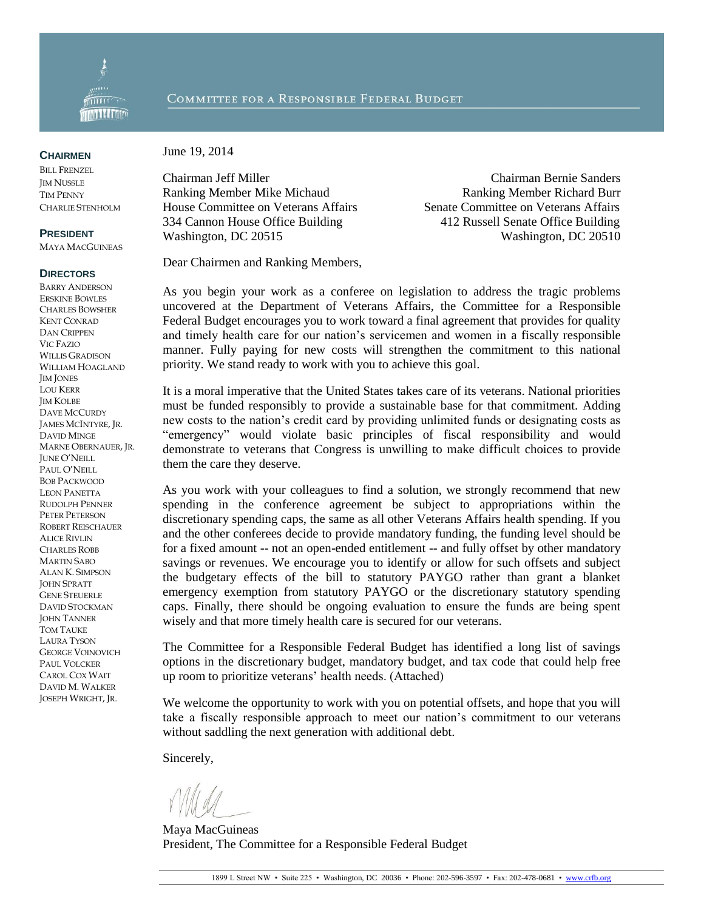

## COMMITTEE FOR A RESPONSIBLE FEDERAL BUDGET

**CHAIRMEN**

BILL FRENZEL **IM NUSSLE** TIM PENNY CHARLIE STENHOLM

## **PRESIDENT**

MAYA MACGUINEAS

## **DIRECTORS**

BARRY ANDERSON ERSKINE BOWLES CHARLES BOWSHER KENT CONRAD DAN CRIPPEN VIC FAZIO WILLIS GRADISON WILLIAM HOAGLAND JIM JONES LOU KERR **IM KOLBE** DAVE MCCURDY JAMES MCINTYRE, JR. DAVID MINGE MARNE OBERNAUER, JR. JUNE O'NEILL PAUL O'NEILL BOB PACKWOOD LEON PANETTA RUDOLPH PENNER PETER PETERSON ROBERT REISCHAUER ALICE RIVLIN CHARLES ROBB MARTIN SABO ALAN K. SIMPSON JOHN SPRATT GENE STEUERLE DAVID STOCKMAN **JOHN TANNER** TOM TAUKE LAURA TYSON GEORGE VOINOVICH PAUL VOLCKER CAROL COX WAIT DAVID M. WALKER JOSEPH WRIGHT, JR.

June 19, 2014

Ranking Member Mike Michaud Ranking Member Richard Burr House Committee on Veterans Affairs Senate Committee on Veterans Affairs 334 Cannon House Office Building 412 Russell Senate Office Building Washington, DC 20515 Washington, DC 20516

Chairman Jeff Miller Chairman Bernie Sanders

Dear Chairmen and Ranking Members,

As you begin your work as a conferee on legislation to address the tragic problems uncovered at the Department of Veterans Affairs, the Committee for a Responsible Federal Budget encourages you to work toward a final agreement that provides for quality and timely health care for our nation's servicemen and women in a fiscally responsible manner. Fully paying for new costs will strengthen the commitment to this national priority. We stand ready to work with you to achieve this goal.

It is a moral imperative that the United States takes care of its veterans. National priorities must be funded responsibly to provide a sustainable base for that commitment. Adding new costs to the nation's credit card by providing unlimited funds or designating costs as "emergency" would violate basic principles of fiscal responsibility and would demonstrate to veterans that Congress is unwilling to make difficult choices to provide them the care they deserve.

As you work with your colleagues to find a solution, we strongly recommend that new spending in the conference agreement be subject to appropriations within the discretionary spending caps, the same as all other Veterans Affairs health spending. If you and the other conferees decide to provide mandatory funding, the funding level should be for a fixed amount -- not an open-ended entitlement -- and fully offset by other mandatory savings or revenues. We encourage you to identify or allow for such offsets and subject the budgetary effects of the bill to statutory PAYGO rather than grant a blanket emergency exemption from statutory PAYGO or the discretionary statutory spending caps. Finally, there should be ongoing evaluation to ensure the funds are being spent wisely and that more timely health care is secured for our veterans.

The Committee for a Responsible Federal Budget has identified a long list of savings options in the discretionary budget, mandatory budget, and tax code that could help free up room to prioritize veterans' health needs. (Attached)

We welcome the opportunity to work with you on potential offsets, and hope that you will take a fiscally responsible approach to meet our nation's commitment to our veterans without saddling the next generation with additional debt.

Sincerely,

Maya MacGuineas President, The Committee for a Responsible Federal Budget